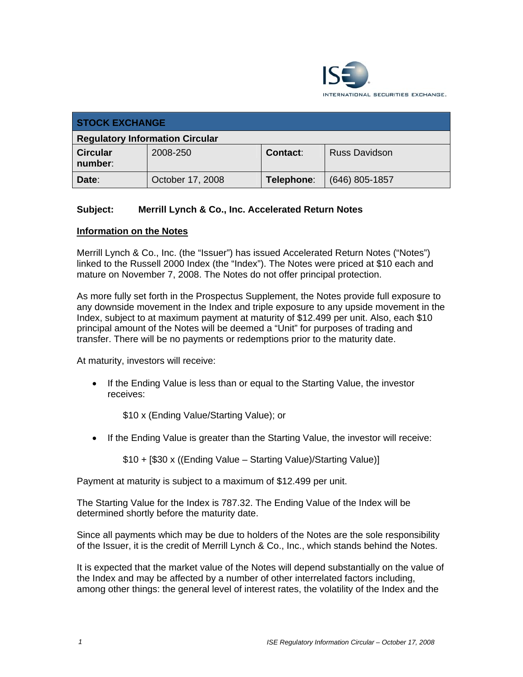

| <b>STOCK EXCHANGE</b>                  |                  |            |                      |  |
|----------------------------------------|------------------|------------|----------------------|--|
| <b>Regulatory Information Circular</b> |                  |            |                      |  |
| <b>Circular</b><br>number:             | 2008-250         | Contact:   | <b>Russ Davidson</b> |  |
| Date:                                  | October 17, 2008 | Telephone: | $(646)$ 805-1857     |  |

## **Subject: Merrill Lynch & Co., Inc. Accelerated Return Notes**

## **Information on the Notes**

Merrill Lynch & Co., Inc. (the "Issuer") has issued Accelerated Return Notes ("Notes") linked to the Russell 2000 Index (the "Index"). The Notes were priced at \$10 each and mature on November 7, 2008. The Notes do not offer principal protection.

As more fully set forth in the Prospectus Supplement, the Notes provide full exposure to any downside movement in the Index and triple exposure to any upside movement in the Index, subject to at maximum payment at maturity of \$12.499 per unit. Also, each \$10 principal amount of the Notes will be deemed a "Unit" for purposes of trading and transfer. There will be no payments or redemptions prior to the maturity date.

At maturity, investors will receive:

• If the Ending Value is less than or equal to the Starting Value, the investor receives:

\$10 x (Ending Value/Starting Value); or

• If the Ending Value is greater than the Starting Value, the investor will receive:

\$10 + [\$30 x ((Ending Value – Starting Value)/Starting Value)]

Payment at maturity is subject to a maximum of \$12.499 per unit.

The Starting Value for the Index is 787.32. The Ending Value of the Index will be determined shortly before the maturity date.

Since all payments which may be due to holders of the Notes are the sole responsibility of the Issuer, it is the credit of Merrill Lynch & Co., Inc., which stands behind the Notes.

It is expected that the market value of the Notes will depend substantially on the value of the Index and may be affected by a number of other interrelated factors including, among other things: the general level of interest rates, the volatility of the Index and the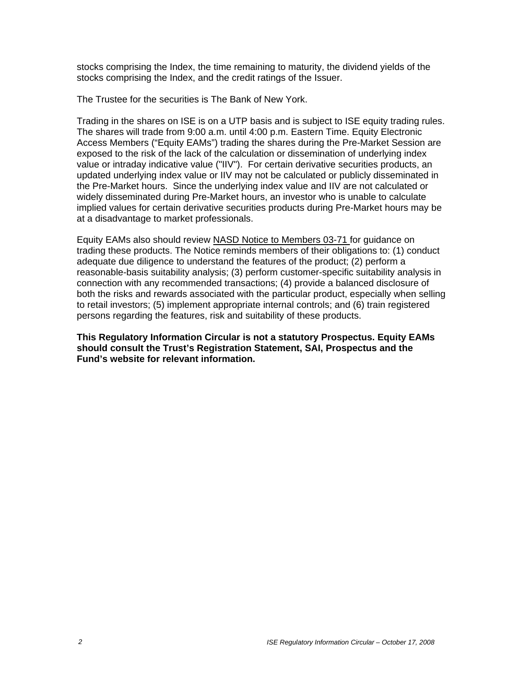stocks comprising the Index, the time remaining to maturity, the dividend yields of the stocks comprising the Index, and the credit ratings of the Issuer.

The Trustee for the securities is The Bank of New York.

Trading in the shares on ISE is on a UTP basis and is subject to ISE equity trading rules. The shares will trade from 9:00 a.m. until 4:00 p.m. Eastern Time. Equity Electronic Access Members ("Equity EAMs") trading the shares during the Pre-Market Session are exposed to the risk of the lack of the calculation or dissemination of underlying index value or intraday indicative value ("IIV"). For certain derivative securities products, an updated underlying index value or IIV may not be calculated or publicly disseminated in the Pre-Market hours. Since the underlying index value and IIV are not calculated or widely disseminated during Pre-Market hours, an investor who is unable to calculate implied values for certain derivative securities products during Pre-Market hours may be at a disadvantage to market professionals.

Equity EAMs also should review NASD Notice to Members 03-71 for guidance on trading these products. The Notice reminds members of their obligations to: (1) conduct adequate due diligence to understand the features of the product; (2) perform a reasonable-basis suitability analysis; (3) perform customer-specific suitability analysis in connection with any recommended transactions; (4) provide a balanced disclosure of both the risks and rewards associated with the particular product, especially when selling to retail investors; (5) implement appropriate internal controls; and (6) train registered persons regarding the features, risk and suitability of these products.

**This Regulatory Information Circular is not a statutory Prospectus. Equity EAMs should consult the Trust's Registration Statement, SAI, Prospectus and the Fund's website for relevant information.**